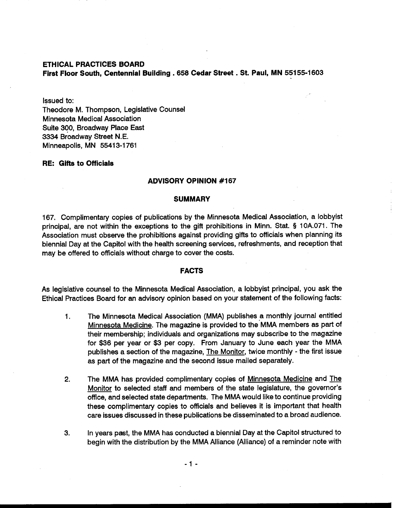### **ETHICAL PRACTICES BOARD**

**First Floor South, Centennial Building** . **658 Cedar Street** . **St. Paul, MN 55155-1603** 

Issued to:

Theodore M. Thompson, Legislative Counsel Minnesota Medical Association Suite 300, Broadway Place East 3334 Broadway Street N.E. Minneapolis, MN 55413-1761

### **RE: Gifts to Officials**

### **ADVISORY OPINION #I67**

## **SUMMARY**

167. Complimentary copies of publications by the Minnesota Medical Association, a lobbyist principal, are not within the exceptions to the gift prohibitions in Minn. Stat. § 10A.071. The Association must observe the prohibitions against providing gifts to officials when planning its biennial Day at the Capitol with the health screening services, refreshments, and reception that may be offered to officials without charge to cover the costs.

#### **FACTS**

As legislative counsel to the Minnesota Medical Association, a lobbyist principal, you ask the Ethical Practices Board for an advisory opinion based on your statement of the following facts:

- 1. The Minnesota Medical Association (MMA) publishes a monthly journal entitled Minnesota Medicine. The magazine is provided to the MMA members as part of their membership; individuals and organizations may subscribe to the magazine for \$36 per year or \$3 per copy. From January to June each year the MMA publishes a section of the magazine, The Monitor, twice monthly - the first issue as part of the magazine and the second issue mailed separately.
- **2.** The MMA has provided complimentary copies of Minnesota Medicine and The Monitor to selected staff and members of the state legislature, the governor's office, and selected state departments. The MMA would like to continue providing these complimentary copies to officials and believes it is important that health care issues discussed in these publications be disseminated to a broad audience.
- **3.** In years pst, the MMA has conducted a biennial Day at the Capitol structured to begin with the distribution by the MMA Alliance (Alliance) of a reminder note with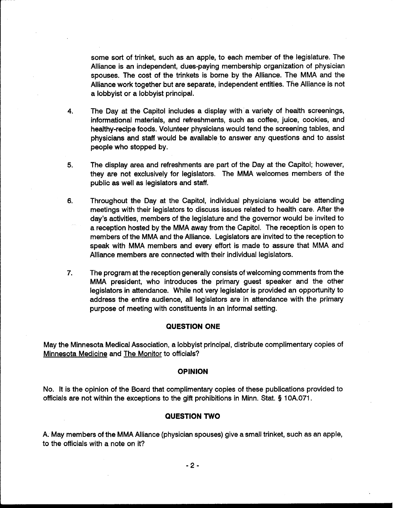some sort of trinket, such as an apple, to each member of the legislature. The Alliance is an independent, dues-paying membership organization of physician spouses. The cost of the trinkets is borne by the Alliance. The MMA and the Alliance work together but are separate, independent entities. The Alliance is not a lobbyist or a lobbyist principal.

- **4.** The Day at the Capitol includes a display with a variety of health screenings, informational materials, and refreshments, such as coffee, juice, cookies, and healthy-recipe foods. Volunteer physicians would tend the screening tables, and physicians and staff would be available to answer any questions and to assist people who stopped by.
- **5.** The display area and refreshments are part of the Day at the Capitol; however, they are not exclusively for legislators. The MMA welcomes members of the public as well as legislators and staff.
- **6.** Throughout the Day at the Capitol, individual physicians would be attending meetings with their legislators to discuss issues related to health care. After the day's activities, members of the legislature and the governor would be invited to a reception hosted by the MMA away from the Capitol. The reception is open to members of the MMA and the Alliance. Legislators are invited to the reception to speak with MMA members and every effort is made to assure that MMA and Alliance members are connected with their individual legislators.
- **7.** The program at the reception generally consists of welcoming comments from the MMA president, who introduces the primary guest speaker and the other legislators in attendance. While not very legislator is provided an opportunity to address the entire audience, all legislators are in attendance with the primary purpose of meeting with constituents in an informal setting.

# **QUESTION ONE**

May the Minnesota Medical Association, a lobbyist principal, distribute complimentary copies of Minnesota Medicine and The Monitor to officials?

#### **OPINION**

No. It is the opinion of the Board that complimentary copies of these publications provided to officials are not within the exceptions to the gift prohibitions in Minn. Stat. § 10A.071.

#### **QUESTION TWO**

A. May members of the MMA Alliance (physician spouses) give a small trinket, such as an apple, to the officials with a note on it?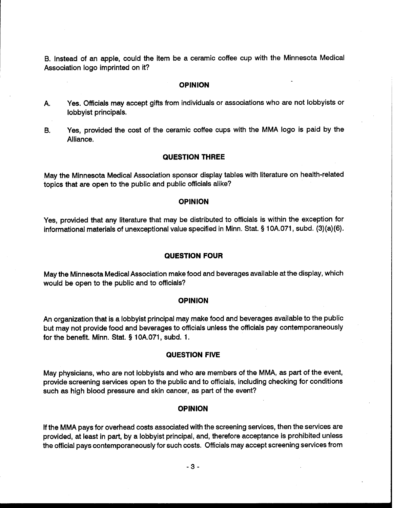B. Instead of an apple, could the item be a ceramic coffee cup with the Minnesota Medical Association logo imprinted on it?

# **OPINION**

- A. Yes. Officials may accept gifts from individuals or associations who are not lobbyists or lobbyist principals.
- B. Yes, provided the cost of the ceramic coffee cups with the MMA logo is paid by the Alliance.

## **QUESTION THREE**

May the Minnesota Medical Association sponsor display tables with literature on health-related topics that are open to the public and public officials alike?

#### **OPINION**

Yes, provided that any literature that may be distributed to officials is within the exception for informational materials of unexceptional value specified in Minn. Stat. § 1 OA.071, subd. (3)(a)(6).

## **QUESTION FOUR**

May the Minnesota Medical Association make food and beverages available at the display, which would be open to the public and to officials?

## **OPINION**

An organization that is a lobbyist principal may make food and beverages available to the public but may not provide food and beverages to officials unless the officials pay contemporaneously for the benefit. Minn. Stat. § 10A.071, subd. 1.

### **QUESTION FIVE**

May physicians, who are not lobbyists and who are members of the MMA, as part of the event, provide screening services open to the public and to officials, including checking for conditions such as high blood pressure and skin cancer, as part of the event?

#### **OPINION**

If the MMA pays for overhead costs associated with the screening services, then the services are provided, at least in part, by a lobbyist principal, and, therefore acceptance is prohibited unless the official pays contemporaneously for such costs. Officials may accept screening services from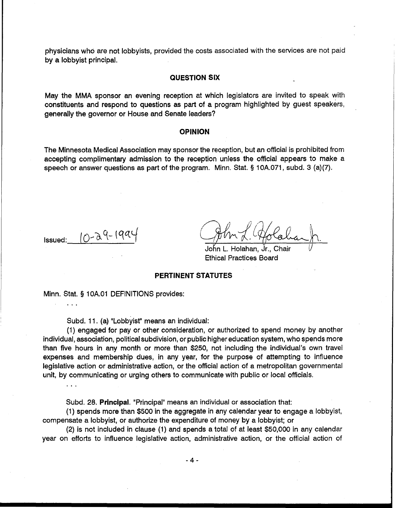physicians who are not lobbyists, provided the costs associated with the services are not paid by a lobbyist principal.

#### **QUESTION SIX**

May the MMA sponsor an evening reception at which legislators are invited to speak with constituents and respond to questions as part of a program highlighted by guest speakers, generally the governor or House and Senate leaders?

# **OPINION**

The Minnesota Medical Association may sponsor the reception, but an official is prohibited from accepting complimentary admission to the reception unless the official appears to make a speech or answer questions as part of the program. Minn. Stat. § 10A.071, subd. 3 (a)(7).

Issued:  $10-29-199$ 

. . .

...

John L. Holahan, Jr., Chair Ethical Practices Board

## **PERTINENT STATUTES**

Minn. Stat. **5** 1 OA.O1 DEFINITIONS provides:

Subd. 11. (a) "Lobbyist" means an individual:

(1) engaged for pay or other consideration, or authorized to spend money by another individual, association, political subdivision, or public higher education system, who spends more than five hours in any month or more than \$250, not including the individual's own travel expenses and membership dues, in any year, for the purpose of attempting to influence legislative action or administrative action, or the official action of a metropolitan governmental unit, by communicating or urging others to communicate with public or local officials.

Subd. 28. **Principal.** "Principal" means an individual or association that:

(1) spends more than \$500 in the aggregate in any calendar year to engage a lobbyist, compensate a lobbyist, or authorize the expenditure of money by a lobbyist; or

(2) is not included in clause (1) and spends a total of at least \$50,000 in any calendar year on efforts to influence legislative action, administrative action, or the official action of